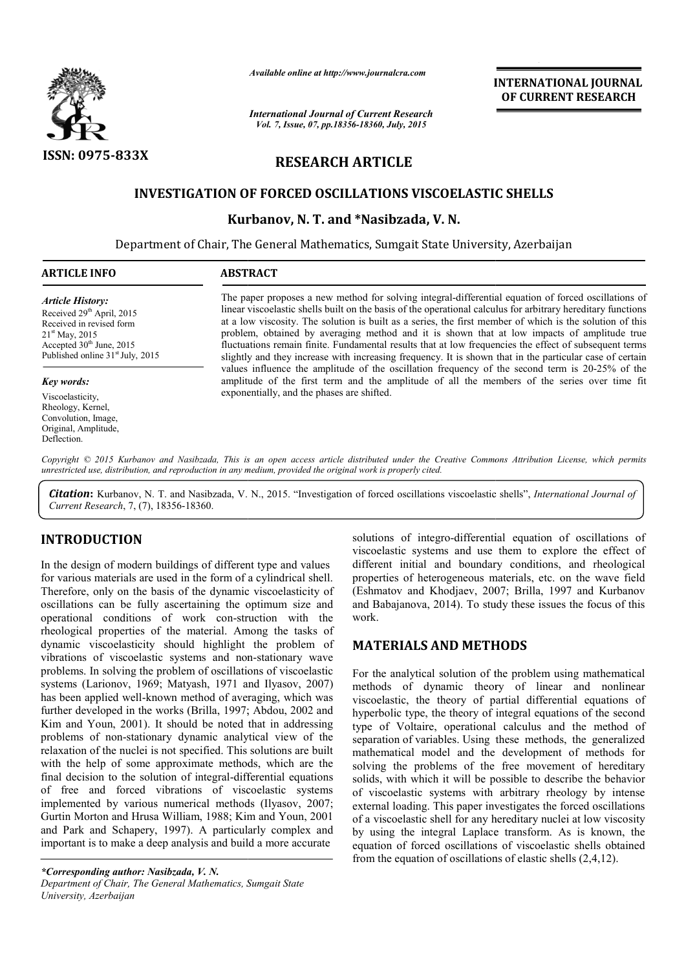

*Available online at http://www.journalcra.com*

*International Journal of Current Research Vol. 7, Issue, 07, pp.18356-18360, July, 2015*

**INTERNATIONAL INTERNATIONAL JOURNAL OF CURRENT RESEARCH** 

# **RESEARCH ARTICLE**

### **INVESTIGATION OF FORCED OSCILLATIONS VISCOELASTIC SHELLS SHELLS**

**Kurbanov, N. T. and \*Nasibzada, V. N.**

Department of Chair, The General Mathematics, Sumgait State University, Azerbaijan

| <b>ARTICLE INFO</b> | <b>ABSTRACT</b>                                                                                      |
|---------------------|------------------------------------------------------------------------------------------------------|
| Article History:    | The paper proposes a new method for solving integral-differential equation of forced oscillations of |

Received 29<sup>th</sup> April, 2015 Received in revised form 21<sup>st</sup> May, 2015 Accepted 30<sup>th</sup> June, 2015 Published online 31<sup>st</sup> July, 2015

*Key words:*

Viscoelasticity, Rheology, Kernel, Convolution, Image, Original, Amplitude, Deflection.

The paper proposes a new method for solving integral linear viscoelastic shells built on the basis of the operational calculus for arbitrary hereditary functions at a low viscosity. The solution is built as a series, the first member of which is the solution of this problem, obtained by averaging method and it is shown that at low impacts of amplitude true fluctuations remain finite. Fundamental results that at low frequencies the effect of subsequent terms slightly and they increase with increasing frequency. It is shown that in the particular case of certain slightly and they increase with increasing frequency. It is shown that in the particular can values influence the amplitude of the oscillation frequency of the second term is 20 amplitude of the first term and the amplitude of all the members of the series over time fit exponentially, and the phases are shifted. integral-differential equation of forced oscillations of The paper proposes a new method for solving integral-differential equation of forced oscillations of linear viscoelastic shells built on the basis of the operational calculus for arbitrary hereditary functions at a low vis

Copyright © 2015 Kurbanov and Nasibzada, This is an open access article distributed under the Creative Commons Attribution License, which permits *unrestricted use, distribution, and reproduction in any medium, provided the original work is properly cited.* 

Citation: Kurbanov, N. T. and Nasibzada, V. N., 2015. "Investigation of forced oscillations viscoelastic shells", *International Journal of Current Research*, 7, (7), 18356-18360.

## **INTRODUCTION**

In the design of modern buildings of different type and values for various materials are used in the form of a cylindrical shell. Therefore, only on the basis of the dynamic viscoelasticity of oscillations can be fully ascertaining the optimum size and operational conditions of work con-struction with the rheological properties of the material. Among the tasks of dynamic viscoelasticity should highlight the problem of operational conditions of work con-struction with the<br>rheological properties of the material. Among the tasks of<br>dynamic viscoelasticity should highlight the problem of<br>vibrations of viscoelastic systems and non-stationary problems. In solving the problem of oscillations of viscoelastic systems (Larionov, 1969; Matyash, 1971 and Ilyasov, 2007) has been applied well-known method of averaging, which was has been applied well-known method of averaging, which was further developed in the works (Brilla, 1997; Abdou, 2002 and Kim and Youn, 2001). It should be noted that in addressing Kim and Youn, 2001). It should be noted that in addressing problems of non-stationary dynamic analytical view of the relaxation of the nuclei is not specified. This solutions are built with the help of some approximate methods, which are the final decision to the solution of integral-differential equations of free and forced vibrations of viscoelastic systems implemented by various numerical methods (Ilyasov, 2007; Gurtin Morton and Hrusa William, 1988; Kim and Youn, 2001 and Park and Schapery, 1997). A particularly complex and important is to make a deep analysis and build a more accurate **RODUCTION**<br>
solutions of integro-differential equation of oscillations of<br>
visocelastic systems and use them to explore effect of<br>
different initial and boundary conditions, and rheological<br>
arions materials are used in

*\*Corresponding author: Nasibzada, V. N. Department of Chair, The General Mathematics, Sumgait State University, Azerbaijan*

viscoelastic systems and use them to explore the effect of different initial and boundary conditions, and rheological properties of heterogeneous materials, etc. on the wave field solutions of integro-differential equation of oscillations of viscoelastic systems and use them to explore the effect of different initial and boundary conditions, and rheological properties of heterogeneous materials, etc and Babajanova, 2014). To study these issues the focus of this work.

### **MATERIALS AND METHODS METHODS**

For the analytical solution of the problem using mathematical methods of dynamic theory of linear and nonlinear viscoelastic, the theory of partial differential equations of hyperbolic type, the theory of integral equations of the second type of Voltaire, operational calculus and the method of separation of variables. Using these methods, the generalized mathematical model and the development of methods for solving the problems of the free movement of hereditary solids, with which it will be possible to describe the behavior of viscoelastic systems with arbitrary rheology by intense external loading. This paper investigates the forced oscillations of a viscoelastic shell for any hereditary nuclei at low viscosity by using the integral Laplace transform. As is known, the equation of forced oscillations of viscoelastic shells obtained from the equation of oscillations of elastic shells  $(2,4,12)$ . For the analytical solution of the problem using mathematical methods of dynamic theory of linear and nonlinear viscoelastic, the theory of partial differential equations of hyperbolic type, the theory of integral equation belastic shell for any hereditary nuclei at low vis<br>the integral Laplace transform. As is known<br>of forced oscillations of viscoelastic shells (b)<br>equation of oscillations of elastic shells  $(2,4,12)$ .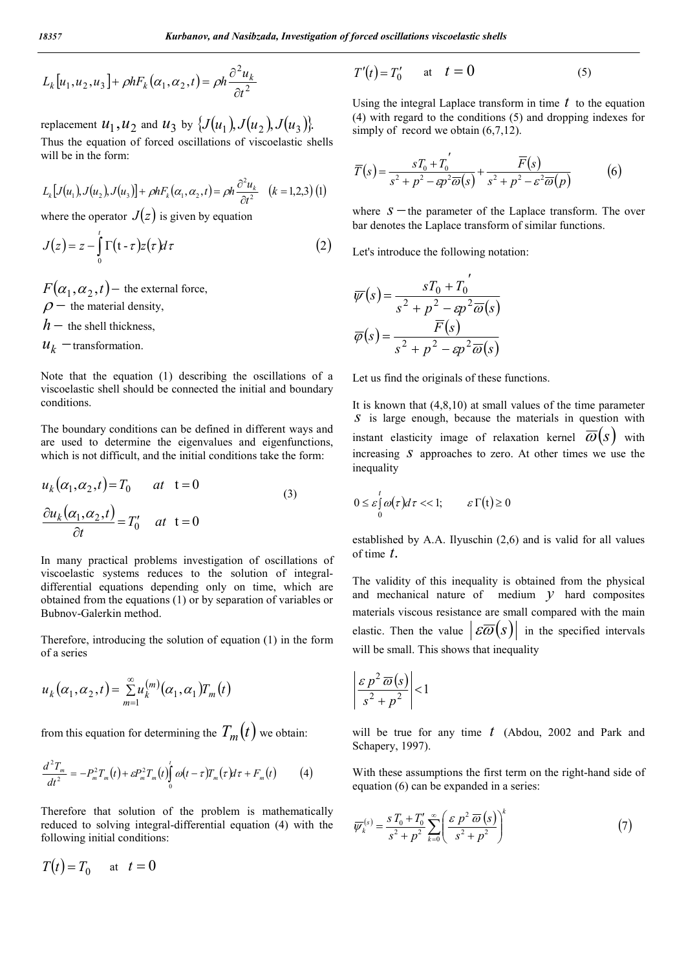$$
L_k[u_1, u_2, u_3] + \rho h F_k(\alpha_1, \alpha_2, t) = \rho h \frac{\partial^2 u_k}{\partial t^2}
$$

replacement  $u_1, u_2$  and  $u_3$  by  $\{J(u_1), J(u_2), J(u_3)\}$ . Thus the equation of forced oscillations of viscoelastic shells will be in the form:

$$
L_k[J(u_1), J(u_2), J(u_3)] + \rho h F_k(\alpha_1, \alpha_2, t) = \rho h \frac{\partial^2 u_k}{\partial t^2} \quad (k = 1, 2, 3) \tag{1}
$$

where the operator  $J(z)$  is given by equation

$$
J(z) = z - \int_{0}^{t} \Gamma(t - \tau) z(\tau) d\tau
$$
 (2)

 $F(\alpha_1, \alpha_2, t)$  – the external force,  $\rho$  – the material density,  $h$  – the shell thickness,

 $u_k$  -transformation.

Note that the equation (1) describing the oscillations of a viscoelastic shell should be connected the initial and boundary conditions.

The boundary conditions can be defined in different ways and are used to determine the eigenvalues and eigenfunctions, which is not difficult, and the initial conditions take the form:

$$
u_k(\alpha_1, \alpha_2, t) = T_0 \qquad at \quad t = 0
$$
  

$$
\frac{\partial u_k(\alpha_1, \alpha_2, t)}{\partial t} = T_0' \qquad at \quad t = 0
$$
 (3)

In many practical problems investigation of oscillations of viscoelastic systems reduces to the solution of integraldifferential equations depending only on time, which are obtained from the equations (1) or by separation of variables or Bubnov-Galerkin method.

Therefore, introducing the solution of equation (1) in the form of a series

$$
u_k(\alpha_1,\alpha_2,t)=\sum_{m=1}^{\infty}u_k^{(m)}(\alpha_1,\alpha_1)T_m(t)
$$

from this equation for determining the  $T_m(t)$  we obtain:

$$
\frac{d^2T_m}{dt^2} = -P_m^2T_m(t) + \varepsilon P_m^2T_m(t)\int_0^t \omega(t-\tau)T_m(\tau) d\tau + F_m(t) \tag{4}
$$

Therefore that solution of the problem is mathematically reduced to solving integral-differential equation (4) with the following initial conditions:

$$
T(t) = T_0 \qquad \text{at} \quad t = 0
$$

$$
T'(t) = T'_0 \qquad \text{at} \quad t = 0 \tag{5}
$$

Using the integral Laplace transform in time *t* to the equation (4) with regard to the conditions (5) and dropping indexes for simply of record we obtain  $(6,7,12)$ .

$$
\overline{T}(s) = \frac{sT_0 + T_0'}{s^2 + p^2 - \epsilon p^2 \overline{\omega}(s)} + \frac{\overline{F}(s)}{s^2 + p^2 - \epsilon^2 \overline{\omega}(p)}\tag{6}
$$

where  $S$  the parameter of the Laplace transform. The over bar denotes the Laplace transform of similar functions.

Let's introduce the following notation:

$$
\overline{\psi}(s) = \frac{sT_0 + T_0'}{s^2 + p^2 - sp^2 \overline{\omega}(s)}
$$

$$
\overline{\varphi}(s) = \frac{\overline{F}(s)}{s^2 + p^2 - sp^2 \overline{\omega}(s)}
$$

Let us find the originals of these functions.

It is known that (4,8,10) at small values of the time parameter *s* is large enough, because the materials in question with instant elasticity image of relaxation kernel  $\overline{\omega}(s)$  with increasing *s* approaches to zero. At other times we use the inequality

$$
0 \leq \varepsilon \int_{0}^{t} \omega(\tau) d\tau << 1; \qquad \varepsilon \Gamma(t) \geq 0
$$

established by A.A. Ilyuschin (2,6) and is valid for all values of time *t*.

The validity of this inequality is obtained from the physical and mechanical nature of medium *y* hard composites materials viscous resistance are small compared with the main elastic. Then the value  $\left| \mathcal{E}\overline{\omega}(s) \right|$  in the specified intervals will be small. This shows that inequality

$$
\left|\frac{\varepsilon p^2 \,\overline{\omega}(s)}{s^2+p^2}\right|<1
$$

will be true for any time *t* (Abdou, 2002 and Park and Schapery, 1997).

With these assumptions the first term on the right-hand side of equation (6) can be expanded in a series:

$$
\overline{\psi}_k^{(s)} = \frac{s T_0 + T'_0}{s^2 + p^2} \sum_{k=0}^{\infty} \left( \frac{\varepsilon \ p^2 \ \overline{\omega} \left( s \right)}{s^2 + p^2} \right)^k \tag{7}
$$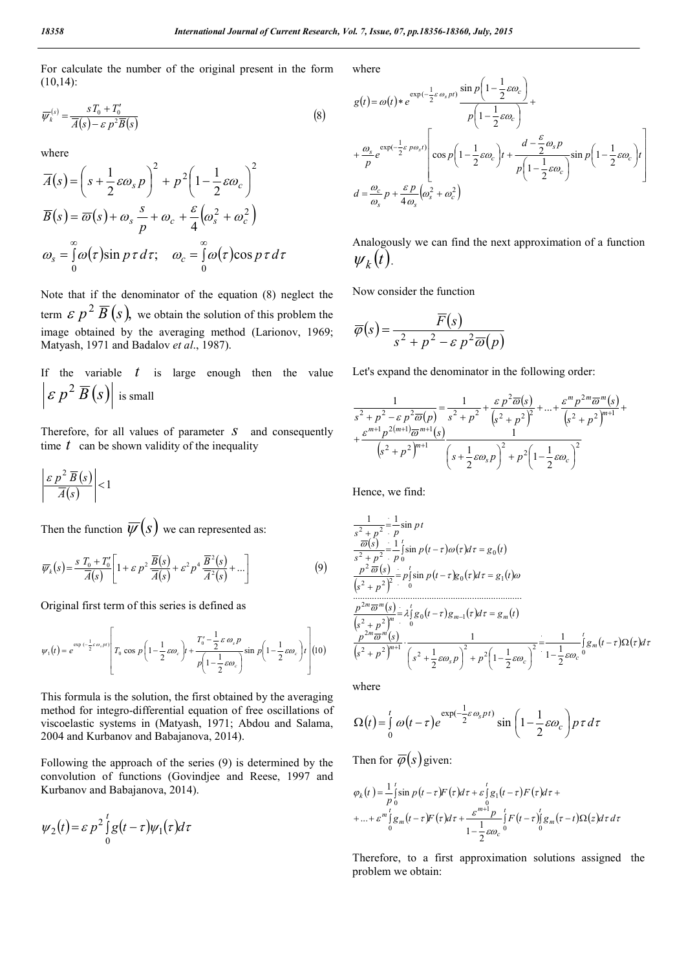For calculate the number of the original present in the form (10,14):

$$
\overline{\psi}_k^{(s)} = \frac{sT_0 + T'_0}{\overline{A}(s) - \varepsilon \, p^2 \overline{B}(s)}\tag{8}
$$

where

$$
\overline{A}(s) = \left(s + \frac{1}{2}\varepsilon\omega_s p\right)^2 + p^2 \left(1 - \frac{1}{2}\varepsilon\omega_c\right)^2
$$
  

$$
\overline{B}(s) = \overline{\omega}(s) + \omega_s \frac{s}{p} + \omega_c + \frac{\varepsilon}{4}\left(\omega_s^2 + \omega_c^2\right)
$$
  

$$
\omega_s = \int_0^\infty \omega(\tau) \sin p \tau \, d\tau; \quad \omega_c = \int_0^\infty \omega(\tau) \cos p \tau \, d\tau
$$

Note that if the denominator of the equation (8) neglect the term  $\mathcal{E}$   $p^2$   $\overline{B}$  (s), we obtain the solution of this problem the image obtained by the averaging method (Larionov, 1969; Matyash, 1971 and Badalov *et al*., 1987).

If the variable *t* is large enough then the value  $\left| \varepsilon p^2 \overline{B}(s) \right|$  is small

Therefore, for all values of parameter *s* and consequently time  $t$  can be shown validity of the inequality

$$
\left|\frac{\varepsilon p^2 \overline{B}(s)}{\overline{A}(s)}\right| < 1
$$

Then the function  $\overline{\psi}(s)$  we can represented as:

$$
\overline{\psi}_k(s) = \frac{s T_0 + T_0'}{\overline{A}(s)} \left[ 1 + \varepsilon p^2 \frac{\overline{B}(s)}{\overline{A}(s)} + \varepsilon^2 p^4 \frac{\overline{B}^2(s)}{\overline{A}^2(s)} + \dots \right]
$$
(9)

Original first term of this series is defined as

$$
\psi_1(t) = e^{\exp\left(-\frac{1}{2}\varepsilon\omega_s\mu t\right)} \left[ T_0 \cos\left(p\left(1-\frac{1}{2}\varepsilon\omega_c\right)t + \frac{T_0^{\prime} - \frac{1}{2}\varepsilon\omega_s p}{p\left(1-\frac{1}{2}\varepsilon\omega_c\right)} \sin\left(p\left(1-\frac{1}{2}\varepsilon\omega_c\right)t\right) \right] (10)
$$

This formula is the solution, the first obtained by the averaging method for integro-differential equation of free oscillations of viscoelastic systems in (Matyash, 1971; Abdou and Salama, 2004 and Kurbanov and Babajanova, 2014).

Following the approach of the series (9) is determined by the convolution of functions (Govindjee and Reese, 1997 and Kurbanov and Babajanova, 2014).

$$
\psi_2(t) = \varepsilon p^2 \int_0^t g(t-\tau) \psi_1(\tau) d\tau
$$

where

$$
g(t) = \omega(t) * e^{\exp(-\frac{1}{2}\varepsilon \omega_s p t)} \frac{\sin p \left(1 - \frac{1}{2}\varepsilon \omega_c\right)}{p \left(1 - \frac{1}{2}\varepsilon \omega_c\right)} + \frac{\omega_s}{p} e^{\exp(-\frac{1}{2}\varepsilon p \omega_s t)} \left[\cos p \left(1 - \frac{1}{2}\varepsilon \omega_c\right) t + \frac{d - \frac{\varepsilon}{2}\omega_s p}{p \left(1 - \frac{1}{2}\varepsilon \omega_c\right)} \sin p \left(1 - \frac{1}{2}\varepsilon \omega_c\right) t\right]
$$
  

$$
d = \frac{\omega_c}{\omega_s} p + \frac{\varepsilon p}{4\omega_s} \left(\omega_s^2 + \omega_c^2\right)
$$

Analogously we can find the next approximation of a function  $\psi_k(t)$ .

Now consider the function

$$
\overline{\varphi}(s) = \frac{\overline{F}(s)}{s^2 + p^2 - \varepsilon p^2 \overline{\omega}(p)}
$$

Let's expand the denominator in the following order:

$$
\frac{1}{s^2 + p^2 - \varepsilon p^2 \overline{\omega}(p)} = \frac{1}{s^2 + p^2} + \frac{\varepsilon p^2 \overline{\omega}(s)}{(s^2 + p^2)^2} + \dots + \frac{\varepsilon^m p^{2m} \overline{\omega}^m(s)}{(s^2 + p^2)^{m+1}} + \frac{\varepsilon^{m+1} p^{2(m+1)} \overline{\omega}^{m+1}(s)}{(s^2 + p^2)^{m+1}} \frac{1}{\left(s + \frac{1}{2} \varepsilon \omega_s p\right)^2 + p^2 \left(1 - \frac{1}{2} \varepsilon \omega_c\right)^2}
$$

Hence, we find:

$$
\frac{1}{s^2 + p^2} = \frac{1}{p} \sin pt
$$
\n
$$
\frac{\overline{\omega}(s)}{s^2 + p^2} = \frac{1}{p} \sin p(t - \tau) \omega(\tau) d\tau = g_0(t)
$$
\n
$$
\frac{p^2 \overline{\omega}(s)}{s^2 + p^2} = p \sin p(t - \tau) g_0(\tau) d\tau = g_1(t) \omega
$$
\n
$$
\frac{p^{2m} \overline{\omega}^{m}(s)}{s^2 + p^2} = \lambda_1^t g_0(t - \tau) g_{m-1}(\tau) d\tau = g_m(t)
$$
\n
$$
\frac{p^{2m} \overline{\omega}^{m}(s)}{s^2 + p^2} = \lambda_1^t g_0(t - \tau) g_{m-1}(\tau) d\tau = g_m(t)
$$
\n
$$
\frac{p^{2m} \overline{\omega}^{m}(s)}{s^2 + p^2} \cdot \frac{1}{(s^2 + \frac{1}{2} \varepsilon \omega_s p)^2 + p^2 (1 - \frac{1}{2} \varepsilon \omega_c)^2} = \frac{1}{1 - \frac{1}{2} \varepsilon \omega_c} \int_0^t g_m(t - \tau) \Omega(\tau) d\tau
$$

where

$$
\Omega(t) = \int_{0}^{t} \omega(t-\tau)e^{\exp(-\frac{1}{2}\varepsilon\omega_s pt)}\sin\left(1-\frac{1}{2}\varepsilon\omega_c\right)p\,\tau\,d\tau
$$

Then for  $\overline{\varphi}(s)$  given:

$$
\varphi_k(t) = \frac{1}{p} \int_0^t \sin p(t-\tau) F(\tau) d\tau + \varepsilon \int_0^t g_1(t-\tau) F(\tau) d\tau +
$$
  
+ ... +  $\varepsilon^m \int_0^t g_m(t-\tau) F(\tau) d\tau + \frac{\varepsilon^{m+1} p}{1 - \frac{1}{2} \varepsilon \omega_c} \int_0^t F(t-\tau) \int_0^t g_m(\tau-t) \Omega(z) d\tau d\tau$ 

Therefore, to a first approximation solutions assigned the problem we obtain: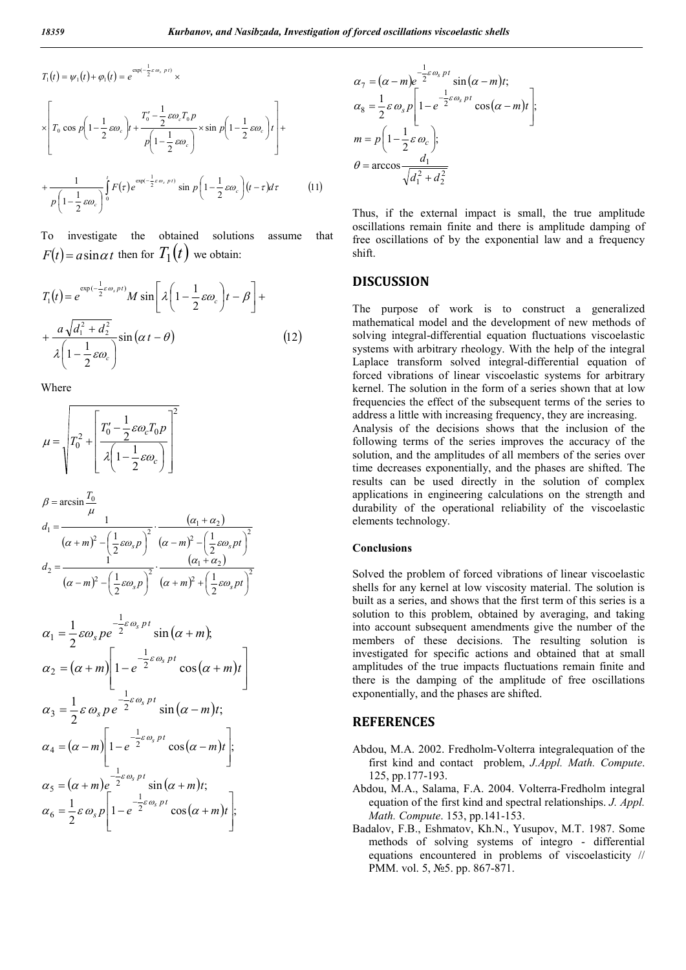$$
T_1(t) = \psi_1(t) + \varphi_1(t) = e^{\exp(-\frac{1}{2}\varepsilon\omega_s \cdot p t)} \times
$$
  
\n
$$
\times \left[ T_0 \cos p \left( 1 - \frac{1}{2}\varepsilon\omega_c \right) t + \frac{T_0' - \frac{1}{2}\varepsilon\omega_c T_0 p}{p \left( 1 - \frac{1}{2}\varepsilon\omega_c \right)} \times \sin p \left( 1 - \frac{1}{2}\varepsilon\omega_c \right) t \right] +
$$
  
\n
$$
+ \frac{1}{p \left( 1 - \frac{1}{2}\varepsilon\omega_c \right)} \int_0^t F(\tau) e^{\exp(-\frac{1}{2}\varepsilon\omega_s \cdot p t)} \sin p \left( 1 - \frac{1}{2}\varepsilon\omega_c \right) (t - \tau) d\tau
$$
(11)

To investigate the obtained solutions assume that  $F(t) = a \sin \alpha t$  then for  $T_1(t)$  we obtain:

$$
T_1(t) = e^{\exp(-\frac{1}{2}\varepsilon\omega_s p t)} M \sin\left[\lambda \left(1 - \frac{1}{2}\varepsilon\omega_c\right) t - \beta\right] + \frac{a\sqrt{d_1^2 + d_2^2}}{\lambda \left(1 - \frac{1}{2}\varepsilon\omega_c\right)} \sin\left(\alpha t - \theta\right)
$$
 (12)

Where

$$
\mu = \sqrt{T_0^2 + \left[\frac{T_0' - \frac{1}{2}\varepsilon\omega_c T_0 p}{\lambda \left(1 - \frac{1}{2}\varepsilon\omega_c\right)}\right]^2}
$$

$$
\beta = \arcsin \frac{T_0}{\mu}
$$
\n
$$
d_1 = \frac{(\alpha + m)^2 - (\frac{1}{2}\varepsilon\omega_s p)^2}{(\alpha + m)^2 - (\frac{1}{2}\varepsilon\omega_s p)^2} \cdot \frac{(\alpha_1 + \alpha_2)}{(\alpha - m)^2 - (\frac{1}{2}\varepsilon\omega_s pt)^2}
$$
\n
$$
d_2 = \frac{(\alpha_1 + \alpha_2)}{(\alpha - m)^2 - (\frac{1}{2}\varepsilon\omega_s p)^2} \cdot \frac{(\alpha_1 + \alpha_2)}{(\alpha + m)^2 + (\frac{1}{2}\varepsilon\omega_s pt)^2}
$$

$$
\alpha_1 = \frac{1}{2} \varepsilon \omega_s p e^{-\frac{1}{2} \varepsilon \omega_s p t} \sin(\alpha + m),
$$
  
\n
$$
\alpha_2 = (\alpha + m) \left[ 1 - e^{-\frac{1}{2} \varepsilon \omega_s p t} \cos(\alpha + m) t \right]
$$
  
\n
$$
\alpha_3 = \frac{1}{2} \varepsilon \omega_s p e^{-\frac{1}{2} \varepsilon \omega_s p t} \sin(\alpha - m) t;
$$
  
\n
$$
\alpha_4 = (\alpha - m) \left[ 1 - e^{-\frac{1}{2} \varepsilon \omega_s p t} \cos(\alpha - m) t \right];
$$
  
\n
$$
\alpha_5 = (\alpha + m) e^{-\frac{1}{2} \varepsilon \omega_s p t} \sin(\alpha + m) t;
$$
  
\n
$$
\alpha_6 = \frac{1}{2} \varepsilon \omega_s p \left[ 1 - e^{-\frac{1}{2} \varepsilon \omega_s p t} \cos(\alpha + m) t \right].
$$

$$
\alpha_7 = (\alpha - m)e^{-\frac{1}{2}\varepsilon \omega_s p t} \sin(\alpha - m)t; \n\alpha_8 = \frac{1}{2}\varepsilon \omega_s p \left[1 - e^{-\frac{1}{2}\varepsilon \omega_s p t} \cos(\alpha - m)t\right]; \n m = p\left(1 - \frac{1}{2}\varepsilon \omega_c\right); \n\theta = \arccos \frac{d_1}{\sqrt{d_1^2 + d_2^2}}
$$

Thus, if the external impact is small, the true amplitude oscillations remain finite and there is amplitude damping of free oscillations of by the exponential law and a frequency shift.

#### **DISCUSSION**

The purpose of work is to construct a generalized mathematical model and the development of new methods of solving integral-differential equation fluctuations viscoelastic systems with arbitrary rheology. With the help of the integral Laplace transform solved integral-differential equation of forced vibrations of linear viscoelastic systems for arbitrary kernel. The solution in the form of a series shown that at low frequencies the effect of the subsequent terms of the series to address a little with increasing frequency, they are increasing. Analysis of the decisions shows that the inclusion of the following terms of the series improves the accuracy of the solution, and the amplitudes of all members of the series over time decreases exponentially, and the phases are shifted. The results can be used directly in the solution of complex applications in engineering calculations on the strength and durability of the operational reliability of the viscoelastic elements technology.

#### **Conclusions**

Solved the problem of forced vibrations of linear viscoelastic shells for any kernel at low viscosity material. The solution is built as a series, and shows that the first term of this series is a solution to this problem, obtained by averaging, and taking into account subsequent amendments give the number of the members of these decisions. The resulting solution is investigated for specific actions and obtained that at small amplitudes of the true impacts fluctuations remain finite and there is the damping of the amplitude of free oscillations exponentially, and the phases are shifted.

#### **REFERENCES**

- Abdou, M.A. 2002. Fredholm-Volterra integralequation of the first kind and contact problem, *J.Appl. Math. Compute*. 125, pp.177-193.
- Abdou, M.A., Salama, F.A. 2004. Volterra-Fredholm integral equation of the first kind and spectral relationships. *J. Appl. Math. Compute*. 153, pp.141-153.
- Badalov, F.B., Eshmatov, Kh.N., Yusupov, M.T. 1987. Some methods of solving systems of integro - differential equations encountered in problems of viscoelasticity // PMM. vol. 5, №5. pp. 867-871.